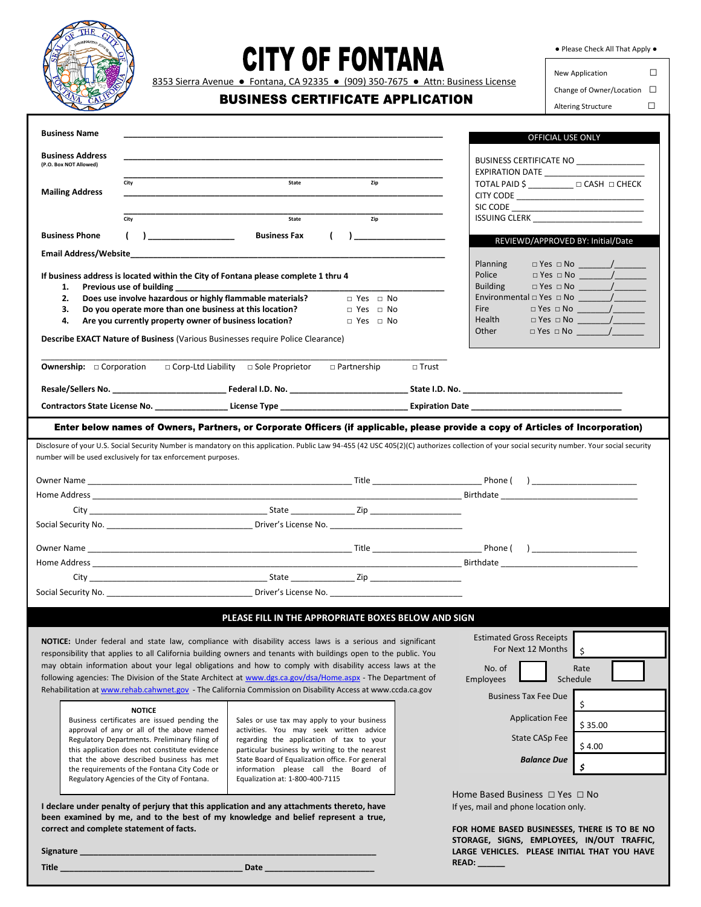

## **CITY OF FONTANA**

● Please Check All That Apply ●

8353 Sierra Avenue · Fontana, CA 92335 · (909) 350-7675 · Attn: Business License

## **BUSINESS CERTIFICATE APPLICATION**

New Application □ Change of Owner/Location □ Altering Structure □

| <b>Business Name</b>                                                                                                                                                                                                           |                                                                                                  |                                                                                                                                                                                                                                |  |  |
|--------------------------------------------------------------------------------------------------------------------------------------------------------------------------------------------------------------------------------|--------------------------------------------------------------------------------------------------|--------------------------------------------------------------------------------------------------------------------------------------------------------------------------------------------------------------------------------|--|--|
|                                                                                                                                                                                                                                |                                                                                                  | OFFICIAL USE ONLY                                                                                                                                                                                                              |  |  |
| <b>Business Address</b><br>(P.O. Box NOT Allowed)                                                                                                                                                                              |                                                                                                  | BUSINESS CERTIFICATE NO                                                                                                                                                                                                        |  |  |
| City                                                                                                                                                                                                                           | State<br>Zip                                                                                     | EXPIRATION DATE<br>TOTAL PAID \$ _____________ □ CASH □ CHECK                                                                                                                                                                  |  |  |
| <b>Mailing Address</b>                                                                                                                                                                                                         |                                                                                                  |                                                                                                                                                                                                                                |  |  |
|                                                                                                                                                                                                                                |                                                                                                  |                                                                                                                                                                                                                                |  |  |
| City                                                                                                                                                                                                                           | Zip<br>State                                                                                     |                                                                                                                                                                                                                                |  |  |
| <b>Business Phone</b><br>$\mathcal{L}$<br>$\overline{a}$                                                                                                                                                                       | <b>Business Fax</b><br>$\left($<br>$\mathbf{I}$                                                  | REVIEWD/APPROVED BY: Initial/Date                                                                                                                                                                                              |  |  |
|                                                                                                                                                                                                                                |                                                                                                  | $\Box$ Yes $\Box$ No $\qquad$ /<br>Planning                                                                                                                                                                                    |  |  |
| If business address is located within the City of Fontana please complete 1 thru 4                                                                                                                                             |                                                                                                  | Police                                                                                                                                                                                                                         |  |  |
| 1.<br>Previous use of building                                                                                                                                                                                                 |                                                                                                  |                                                                                                                                                                                                                                |  |  |
| Does use involve hazardous or highly flammable materials?<br>2.<br>з.<br>Do you operate more than one business at this location?                                                                                               | $\Box$ Yes $\Box$ No<br>$\Box$ Yes $\Box$ No                                                     | <b>Fire</b>                                                                                                                                                                                                                    |  |  |
| Are you currently property owner of business location?<br>4.                                                                                                                                                                   | $\Box$ Yes $\Box$ No                                                                             | Health                                                                                                                                                                                                                         |  |  |
| Describe EXACT Nature of Business (Various Businesses require Police Clearance)                                                                                                                                                |                                                                                                  | $\Box$ Yes $\Box$ No $\qquad \qquad /$<br>Other                                                                                                                                                                                |  |  |
|                                                                                                                                                                                                                                |                                                                                                  |                                                                                                                                                                                                                                |  |  |
| <b>Ownership:</b> $\Box$ Corporation                                                                                                                                                                                           | □ Corp-Ltd Liability □ Sole Proprietor<br>$\Box$ Partnership                                     | $\Box$ Trust                                                                                                                                                                                                                   |  |  |
|                                                                                                                                                                                                                                |                                                                                                  |                                                                                                                                                                                                                                |  |  |
|                                                                                                                                                                                                                                |                                                                                                  |                                                                                                                                                                                                                                |  |  |
|                                                                                                                                                                                                                                |                                                                                                  | Enter below names of Owners, Partners, or Corporate Officers (if applicable, please provide a copy of Articles of Incorporation)                                                                                               |  |  |
|                                                                                                                                                                                                                                |                                                                                                  |                                                                                                                                                                                                                                |  |  |
| number will be used exclusively for tax enforcement purposes.                                                                                                                                                                  |                                                                                                  | Disclosure of your U.S. Social Security Number is mandatory on this application. Public Law 94-455 (42 USC 405(2)(C) authorizes collection of your social security number. Your social security                                |  |  |
|                                                                                                                                                                                                                                |                                                                                                  |                                                                                                                                                                                                                                |  |  |
|                                                                                                                                                                                                                                |                                                                                                  |                                                                                                                                                                                                                                |  |  |
|                                                                                                                                                                                                                                |                                                                                                  |                                                                                                                                                                                                                                |  |  |
|                                                                                                                                                                                                                                |                                                                                                  |                                                                                                                                                                                                                                |  |  |
|                                                                                                                                                                                                                                |                                                                                                  | Phone ( ) ________________________                                                                                                                                                                                             |  |  |
|                                                                                                                                                                                                                                |                                                                                                  | Home Address experiences and the contract of the contract of the contract of the contract of the contract of the contract of the contract of the contract of the contract of the contract of the contract of the contract of t |  |  |
|                                                                                                                                                                                                                                |                                                                                                  |                                                                                                                                                                                                                                |  |  |
| Social Security No. 2008 2012 2022 2023 2024 2022 2023 2024 2022 2023 2024 2022 2023 2024 2022 2023 2024 2022 2023 2024 2022 2023 2024 2022 2023 2024 2022 2023 2024 2023 2024 2023 2024 2023 2024 2023 2024 2023 2024 2023 20 |                                                                                                  |                                                                                                                                                                                                                                |  |  |
|                                                                                                                                                                                                                                |                                                                                                  |                                                                                                                                                                                                                                |  |  |
|                                                                                                                                                                                                                                | PLEASE FILL IN THE APPROPRIATE BOXES BELOW AND SIGN                                              |                                                                                                                                                                                                                                |  |  |
| NOTICE: Under federal and state law, compliance with disability access laws is a serious and significant                                                                                                                       |                                                                                                  | <b>Estimated Gross Receipts</b><br>For Next 12 Months                                                                                                                                                                          |  |  |
| responsibility that applies to all California building owners and tenants with buildings open to the public. You                                                                                                               |                                                                                                  | \$                                                                                                                                                                                                                             |  |  |
| may obtain information about your legal obligations and how to comply with disability access laws at the<br>following agencies: The Division of the State Architect at www.dgs.ca.gov/dsa/Home.aspx - The Department of        |                                                                                                  | No. of<br>Rate<br>Schedule<br><b>Employees</b>                                                                                                                                                                                 |  |  |
| Rehabilitation at www.rehab.cahwnet.gov - The California Commission on Disability Access at www.ccda.ca.gov                                                                                                                    |                                                                                                  |                                                                                                                                                                                                                                |  |  |
| <b>NOTICE</b>                                                                                                                                                                                                                  |                                                                                                  | <b>Business Tax Fee Due</b><br>\$                                                                                                                                                                                              |  |  |
| Business certificates are issued pending the                                                                                                                                                                                   | Sales or use tax may apply to your business                                                      | <b>Application Fee</b><br>\$35.00                                                                                                                                                                                              |  |  |
| approval of any or all of the above named<br>Regulatory Departments. Preliminary filing of                                                                                                                                     | activities. You may seek written advice<br>regarding the application of tax to your              | State CASp Fee                                                                                                                                                                                                                 |  |  |
| this application does not constitute evidence<br>that the above described business has met                                                                                                                                     | particular business by writing to the nearest<br>State Board of Equalization office. For general | \$4.00                                                                                                                                                                                                                         |  |  |
| the requirements of the Fontana City Code or                                                                                                                                                                                   | information please call the Board of                                                             | <b>Balance Due</b><br>\$                                                                                                                                                                                                       |  |  |
| Regulatory Agencies of the City of Fontana.                                                                                                                                                                                    | Equalization at: 1-800-400-7115                                                                  |                                                                                                                                                                                                                                |  |  |
| I declare under penalty of perjury that this application and any attachments thereto, have                                                                                                                                     |                                                                                                  | Home Based Business □ Yes □ No<br>If yes, mail and phone location only.                                                                                                                                                        |  |  |
| been examined by me, and to the best of my knowledge and belief represent a true,                                                                                                                                              |                                                                                                  |                                                                                                                                                                                                                                |  |  |
| correct and complete statement of facts.                                                                                                                                                                                       |                                                                                                  | FOR HOME BASED BUSINESSES, THERE IS TO BE NO                                                                                                                                                                                   |  |  |
| Signature                                                                                                                                                                                                                      |                                                                                                  | STORAGE, SIGNS, EMPLOYEES, IN/OUT TRAFFIC,<br>LARGE VEHICLES. PLEASE INITIAL THAT YOU HAVE                                                                                                                                     |  |  |
| Title                                                                                                                                                                                                                          | Date                                                                                             | READ:                                                                                                                                                                                                                          |  |  |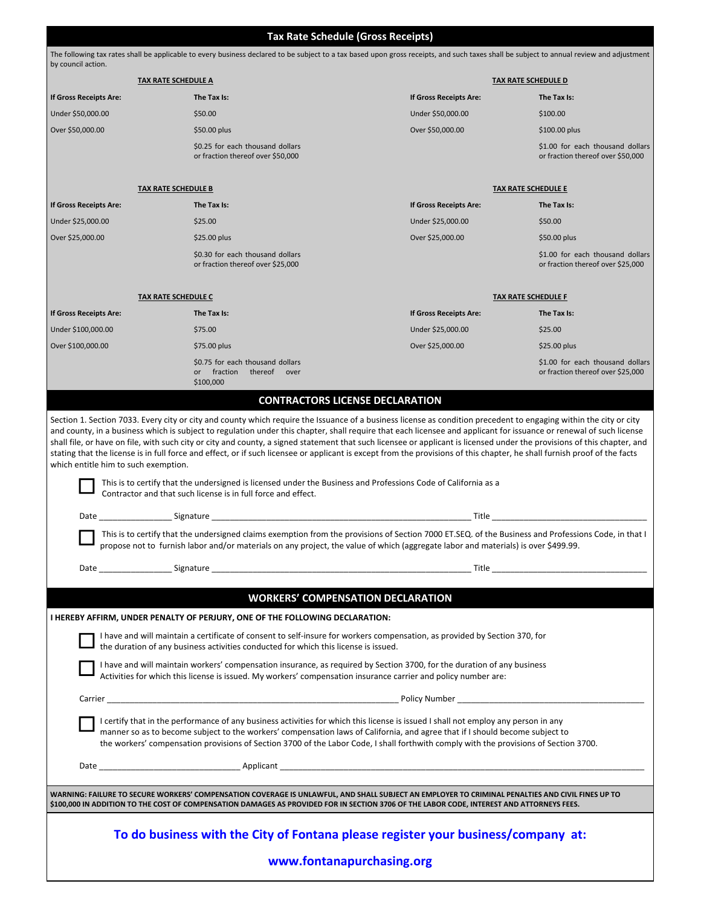**Tax Rate Schedule (Gross Receipts)**  The following tax rates shall be applicable to every business declared to be subject to a tax based upon gross receipts, and such taxes shall be subject to annual review and adjustment by council action. **TAX RATE SCHEDULE A TAX RATE SCHEDULE D If Gross Receipts Are: The Tax Is: If Gross Receipts Are: The Tax Is:** Under \$50,000.00 \$50.00 Under \$50,000.00 \$100.00 Over \$50,000.00 \$50.00 plus Over \$50,000.00 \$100.00 plus \$0.25 for each thousand dollars or fraction thereof over \$50,000 \$1.00 for each thousand dollars or fraction thereof over \$50,000 **TAX RATE SCHEDULE B TAX RATE SCHEDULE E If Gross Receipts Are: The Tax Is: If Gross Receipts Are: The Tax Is:** Under \$25,000.00 \$25.00 Under \$25,000.00 \$50.00 Over \$25,000.00 \$25.00 plus Over \$25,000.00 \$50.00 plus \$0.30 for each thousand dollars or fraction thereof over \$25,000 \$1.00 for each thousand dollars or fraction thereof over \$25,000 **TAX RATE SCHEDULE C TAX RATE SCHEDULE F If Gross Receipts Are: The Tax Is: If Gross Receipts Are: The Tax Is:** Under \$100,000.00 \$75.00 Under \$25,000.00 \$25.00 Over \$100,000.00 \$75.00 plus Over \$25,000.00 \$25.00 plus \$0.75 for each thousand dollars or fraction thereof over \$100,000 \$1.00 for each thousand dollars or fraction thereof over \$25,000 **CONTRACTORS LICENSE DECLARATION** Section 1. Section 7033. Every city or city and county which require the Issuance of a business license as condition precedent to engaging within the city or city and county, in a business which is subject to regulation under this chapter, shall require that each licensee and applicant for issuance or renewal of such license shall file, or have on file, with such city or city and county, a signed statement that such licensee or applicant is licensed under the provisions of this chapter, and stating that the license is in full force and effect, or if such licensee or applicant is except from the provisions of this chapter, he shall furnish proof of the facts which entitle him to such exemption. This is to certify that the undersigned is licensed under the Business and Professions Code of California as a Contractor and that such license is in full force and effect. Date \_\_\_\_\_\_\_\_\_\_\_\_\_\_\_\_ Signature \_\_\_\_\_\_\_\_\_\_\_\_\_\_\_\_\_\_\_\_\_\_\_\_\_\_\_\_\_\_\_\_\_\_\_\_\_\_\_\_\_\_\_\_\_\_\_\_\_\_\_\_\_\_\_\_\_ Title \_\_\_\_\_\_\_\_\_\_\_\_\_\_\_\_\_\_\_\_\_\_\_\_\_\_\_\_\_\_\_\_\_\_ This is to certify that the undersigned claims exemption from the provisions of Section 7000 ET.SEQ. of the Business and Professions Code, in that I propose not to furnish labor and/or materials on any project, the value of which (aggregate labor and materials) is over \$499.99. Date \_\_\_\_\_\_\_\_\_\_\_\_\_\_\_\_ Signature \_\_\_\_\_\_\_\_\_\_\_\_\_\_\_\_\_\_\_\_\_\_\_\_\_\_\_\_\_\_\_\_\_\_\_\_\_\_\_\_\_\_\_\_\_\_\_\_\_\_\_\_\_\_\_\_\_ Title \_\_\_\_\_\_\_\_\_\_\_\_\_\_\_\_\_\_\_\_\_\_\_\_\_\_\_\_\_\_\_\_\_\_ **WORKERS' COMPENSATION DECLARATION I HEREBY AFFIRM, UNDER PENALTY OF PERJURY, ONE OF THE FOLLOWING DECLARATION:** I have and will maintain a certificate of consent to self-insure for workers compensation, as provided by Section 370, for the duration of any business activities conducted for which this license is issued. I have and will maintain workers' compensation insurance, as required by Section 3700, for the duration of any business Activities for which this license is issued. My workers' compensation insurance carrier and policy number are: Carrier \_\_\_\_\_\_\_\_\_\_\_\_\_\_\_\_\_\_\_\_\_\_\_\_\_\_\_\_\_\_\_\_\_\_\_\_\_\_\_\_\_\_\_\_\_\_\_\_\_\_\_\_\_\_\_\_\_\_\_\_\_\_\_\_ Policy Number \_\_\_\_\_\_\_\_\_\_\_\_\_\_\_\_\_\_\_\_\_\_\_\_\_\_\_\_\_\_\_\_\_\_\_\_\_\_\_\_\_ I certify that in the performance of any business activities for which this license is issued I shall not employ any person in any manner so as to become subject to the workers' compensation laws of California, and agree that if I should become subject to the workers' compensation provisions of Section 3700 of the Labor Code, I shall forthwith comply with the provisions of Section 3700. Date \_\_\_\_\_\_\_\_\_\_\_\_\_\_\_\_\_\_\_\_\_\_\_\_\_\_\_\_\_\_\_ Applicant \_\_\_\_\_\_\_\_\_\_\_\_\_\_\_\_\_\_\_\_\_\_\_\_\_\_\_\_\_\_\_\_\_\_\_\_\_\_\_\_\_\_\_\_\_\_\_\_\_\_\_\_\_\_\_\_\_\_\_\_\_\_\_\_\_\_\_\_\_\_\_\_\_\_\_\_\_\_\_\_ WARNING: FAILURE TO SECURE WORKERS' COMPENSATION COVERAGE IS UNLAWFUL, AND SHALL SUBJECT AN EMPLOYER TO CRIMINAL PENALTIES AND CIVIL FINES UP TO \$100,000 IN ADDITION TO THE COST OF COMPENSATION DAMAGES AS PROVIDED FOR IN SECTION 3706 OF THE LABOR CODE, INTEREST AND ATTORNEYS FEES. **To do business with the City of Fontana please register your business/company at: www.fontanapurchasing.org**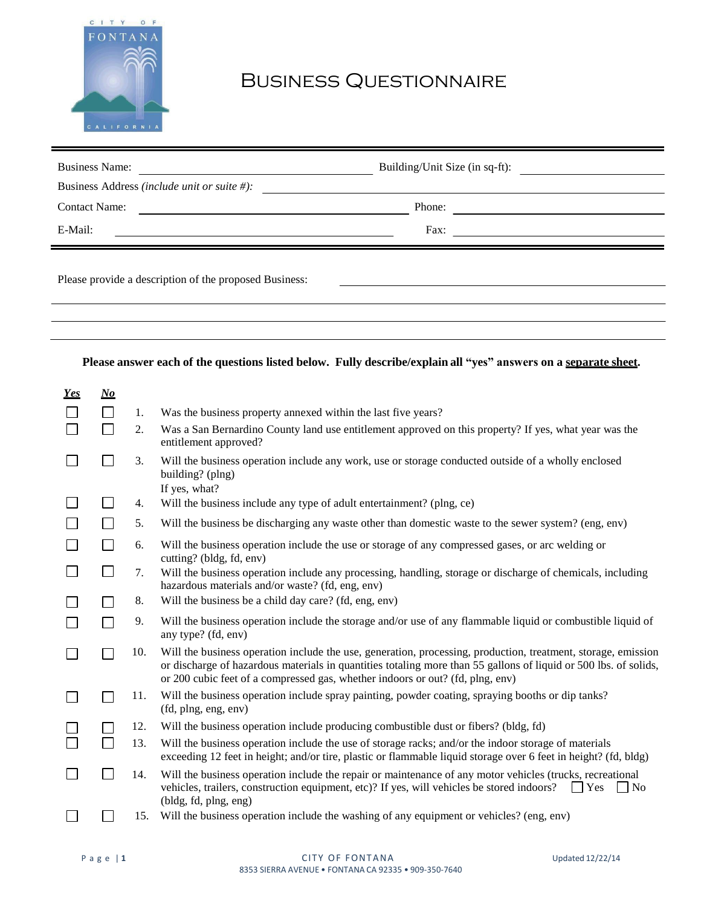

## Business Questionnaire

| <b>Business Name:</b><br><u> 1980 - Andrea Station Books, amerikansk politik (</u>                                                                                  | Building/Unit Size (in sq-ft): |  |
|---------------------------------------------------------------------------------------------------------------------------------------------------------------------|--------------------------------|--|
| Business Address (include unit or suite #):<br><u> 1990 - Jan Barbara III, prima postala prima prima prima prima prima prima prima prima prima prima prima prim</u> |                                |  |
| <b>Contact Name:</b>                                                                                                                                                | Phone:                         |  |
| E-Mail:                                                                                                                                                             | Fax:                           |  |
| Please provide a description of the proposed Business:                                                                                                              |                                |  |

## **Please answer each of the questions listed below. Fully describe/explain all "yes" answers on a separate sheet.**

| Yes | $\bm{N}\bm{o}$ |     |                                                                                                                                                                                                                                                                                                                     |
|-----|----------------|-----|---------------------------------------------------------------------------------------------------------------------------------------------------------------------------------------------------------------------------------------------------------------------------------------------------------------------|
|     | П              | 1.  | Was the business property annexed within the last five years?                                                                                                                                                                                                                                                       |
|     | П              | 2.  | Was a San Bernardino County land use entitlement approved on this property? If yes, what year was the<br>entitlement approved?                                                                                                                                                                                      |
|     | $\sim$         | 3.  | Will the business operation include any work, use or storage conducted outside of a wholly enclosed<br>building? (plng)<br>If yes, what?                                                                                                                                                                            |
|     |                | 4.  | Will the business include any type of adult entertainment? (plng, ce)                                                                                                                                                                                                                                               |
|     |                | 5.  | Will the business be discharging any waste other than domestic waste to the sewer system? (eng, env)                                                                                                                                                                                                                |
|     | $\Box$         | 6.  | Will the business operation include the use or storage of any compressed gases, or arc welding or<br>cutting? (bldg, fd, env)                                                                                                                                                                                       |
|     | ⊔              | 7.  | Will the business operation include any processing, handling, storage or discharge of chemicals, including<br>hazardous materials and/or waste? (fd, eng, env)                                                                                                                                                      |
|     |                | 8.  | Will the business be a child day care? (fd, eng, env)                                                                                                                                                                                                                                                               |
|     | $\Box$         | 9.  | Will the business operation include the storage and/or use of any flammable liquid or combustible liquid of<br>any type? (fd, env)                                                                                                                                                                                  |
|     | $\Box$         | 10. | Will the business operation include the use, generation, processing, production, treatment, storage, emission<br>or discharge of hazardous materials in quantities totaling more than 55 gallons of liquid or 500 lbs. of solids,<br>or 200 cubic feet of a compressed gas, whether indoors or out? (fd, plng, env) |
|     |                | 11. | Will the business operation include spray painting, powder coating, spraying booths or dip tanks?<br>(fd, plng, eng, env)                                                                                                                                                                                           |
|     |                | 12. | Will the business operation include producing combustible dust or fibers? (bldg, fd)                                                                                                                                                                                                                                |
|     | П              | 13. | Will the business operation include the use of storage racks; and/or the indoor storage of materials<br>exceeding 12 feet in height; and/or tire, plastic or flammable liquid storage over 6 feet in height? (fd, bldg)                                                                                             |
|     | $\Box$         | 14. | Will the business operation include the repair or maintenance of any motor vehicles (trucks, recreational<br>vehicles, trailers, construction equipment, etc)? If yes, will vehicles be stored indoors?<br>$\overline{\phantom{a}}$ No<br>$ $   Yes<br>(bldg, fd, plng, eng)                                        |
|     |                | 15. | Will the business operation include the washing of any equipment or vehicles? (eng, env)                                                                                                                                                                                                                            |